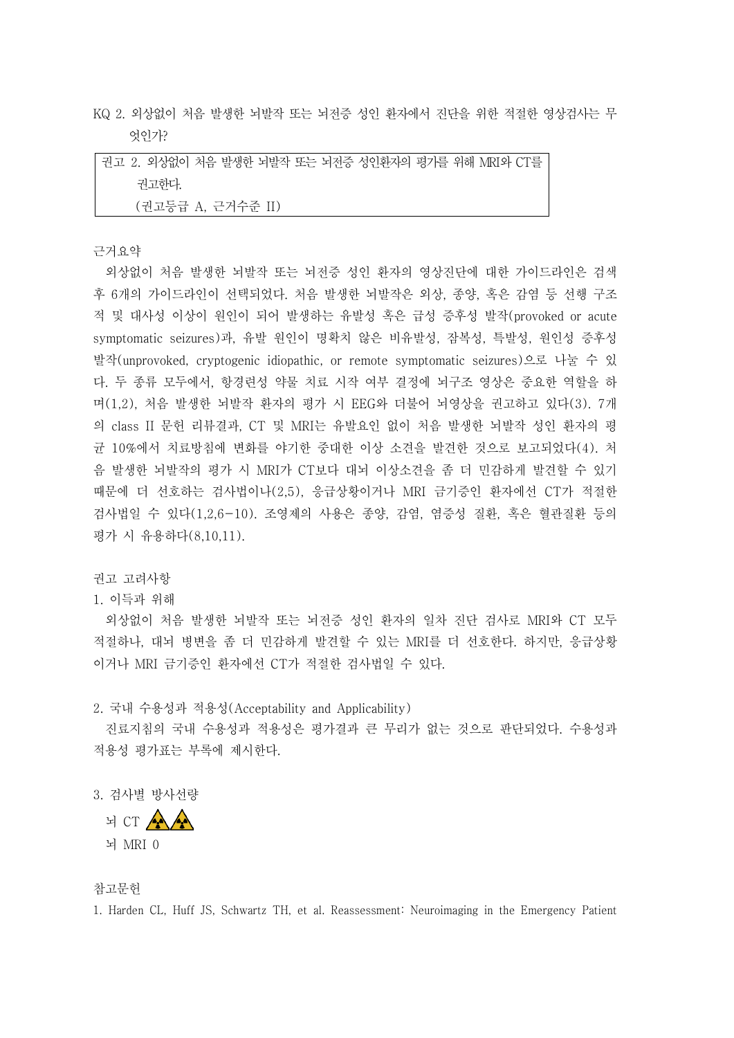KQ 2. 외상없이 처음 발생한 뇌발작 또는 뇌전증 성인 환자에서 진단을 위한 적절한 영상검사는 무 엇인가?

|                   | 권고 2. 외상없이 처음 발생한 뇌발작 또는 뇌전증 성인환자의 평가를 위해 MRI와 CT를 |
|-------------------|----------------------------------------------------|
| 권고하다.             |                                                    |
| (권고등급 A, 근거수준 II) |                                                    |

근거요약

외상없이 처음 발생한 뇌발작 또는 뇌전증 성인 환자의 영상진단에 대한 가이드라인은 검색 후 6개의 가이드라인이 선택되었다. 처음 발생한 뇌발작은 외상, 종양, 혹은 감염 등 선행 구조 적 및 대사성 이상이 원인이 되어 발생하는 유발성 혹은 급성 증후성 발작(provoked or acute symptomatic seizures)과, 유발 원인이 명확치 않은 비유발성, 잠복성, 특발성, 원인성 증후성 발작(unprovoked, cryptogenic idiopathic, or remote symptomatic seizures)으로 나눌 수 있 다. 두 종류 모두에서, 항경련성 약물 치료 시작 여부 결정에 뇌구조 영상은 중요한 역할을 하 며(1,2), 처음 발생한 뇌발작 환자의 평가 시 EEG와 더불어 뇌영상을 권고하고 있다(3). 7개 의 class II 문헌 리뷰결과, CT 및 MRI는 유발요인 없이 처음 발생한 뇌발작 성인 환자의 평 균 10%에서 치료방침에 변화를 야기한 중대한 이상 소견을 발견한 것으로 보고되었다(4). 처 음 발생한 뇌발작의 평가 시 MRI가 CT보다 대뇌 이상소견을 좀 더 민감하게 발견할 수 있기 때문에 더 선호하는 검사법이나(2,5), 응급상황이거나 MRI 금기증인 환자에선 CT가 적절한 검사법일 수 있다(1,2,6-10). 조영제의 사용은 종양, 감염, 염증성 질환, 혹은 혈관질환 등의 평가 시 유용하다(8,10,11).

권고 고려사항

## 1. 이득과 위해

외상없이 처음 발생한 뇌발작 또는 뇌전증 성인 환자의 일차 진단 검사로 MRI와 CT 모두 적절하나, 대뇌 병변을 좀 더 민감하게 발견할 수 있는 MRI를 더 선호한다. 하지만, 응급상황 이거나 MRI 금기증인 환자에선 CT가 적절한 검사법일 수 있다.

2. 국내 수용성과 적용성(Acceptability and Applicability)

진료지침의 국내 수용성과 적용성은 평가결과 큰 무리가 없는 것으로 판단되었다. 수용성과 적용성 평가표는 부록에 제시한다.

3. 검사별 방사선량

뇌 CT AAA

참고문헌

1. Harden CL, Huff JS, Schwartz TH, et al. Reassessment: Neuroimaging in the Emergency Patient